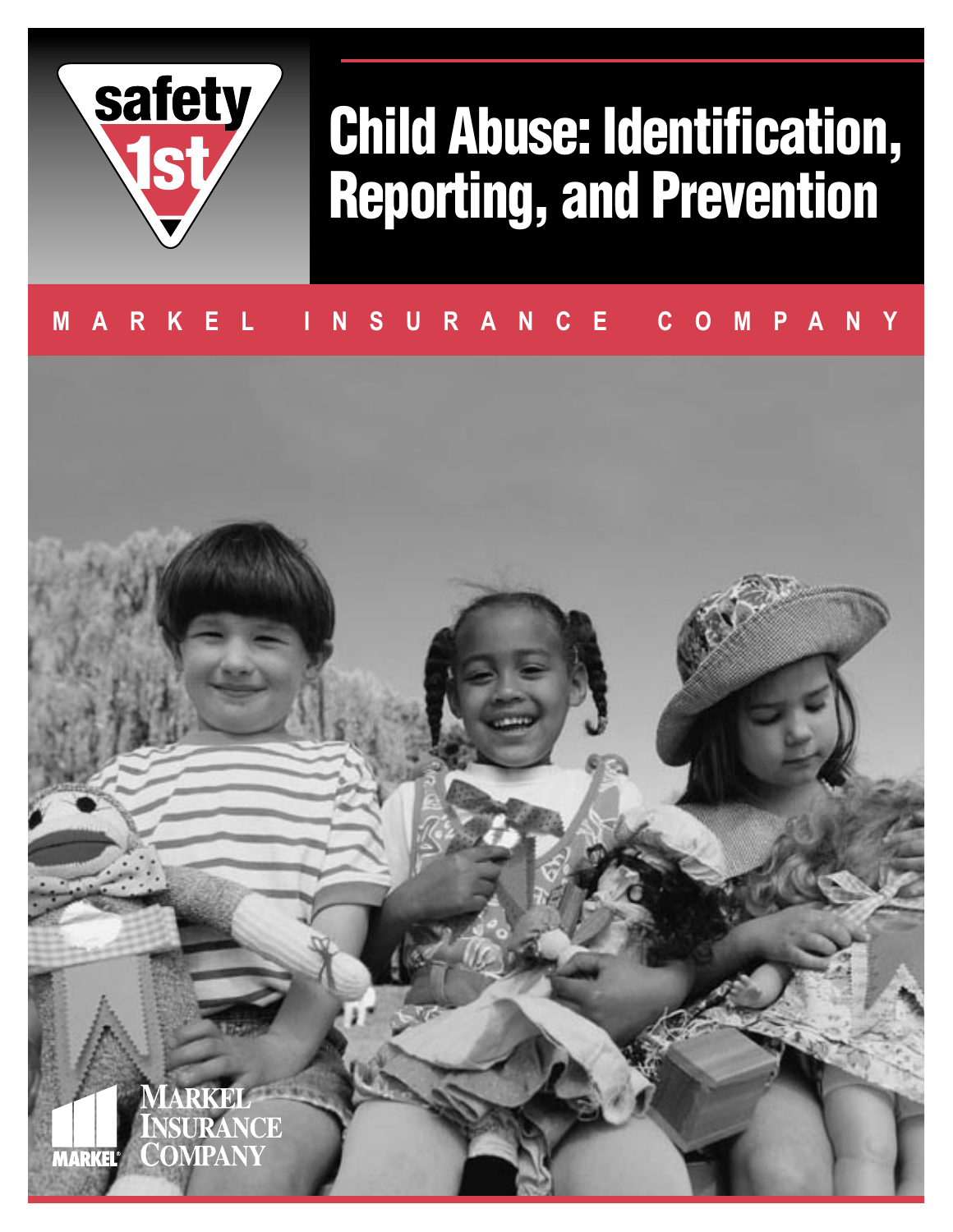

# **Child Abuse: Identification, Reporting, and Prevention**

### **MARKEL INSURANCE COMPANY**

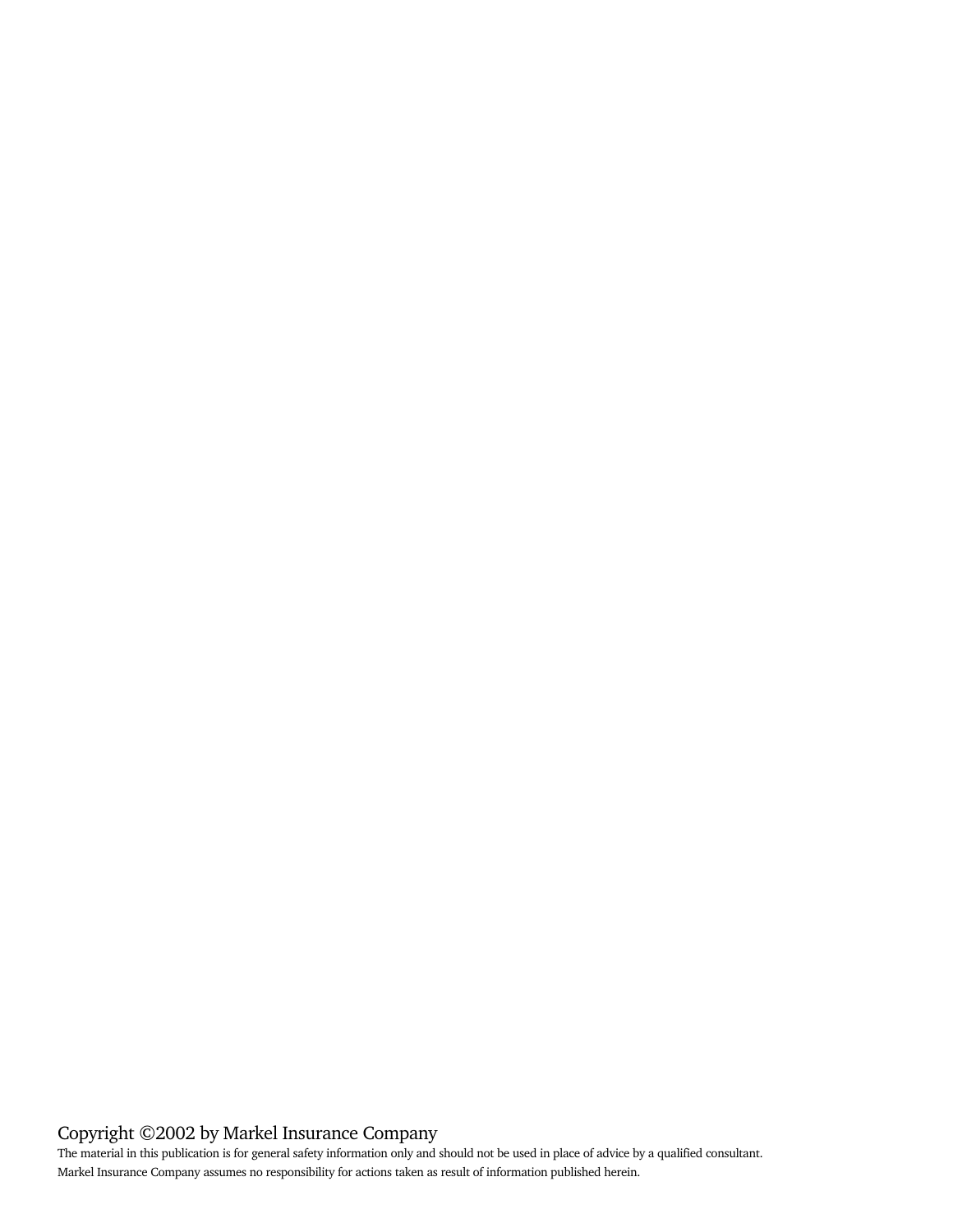#### Copyright ©2002 by Markel Insurance Company

The material in this publication is for general safety information only and should not be used in place of advice by a qualified consultant. Markel Insurance Company assumes no responsibility for actions taken as result of information published herein.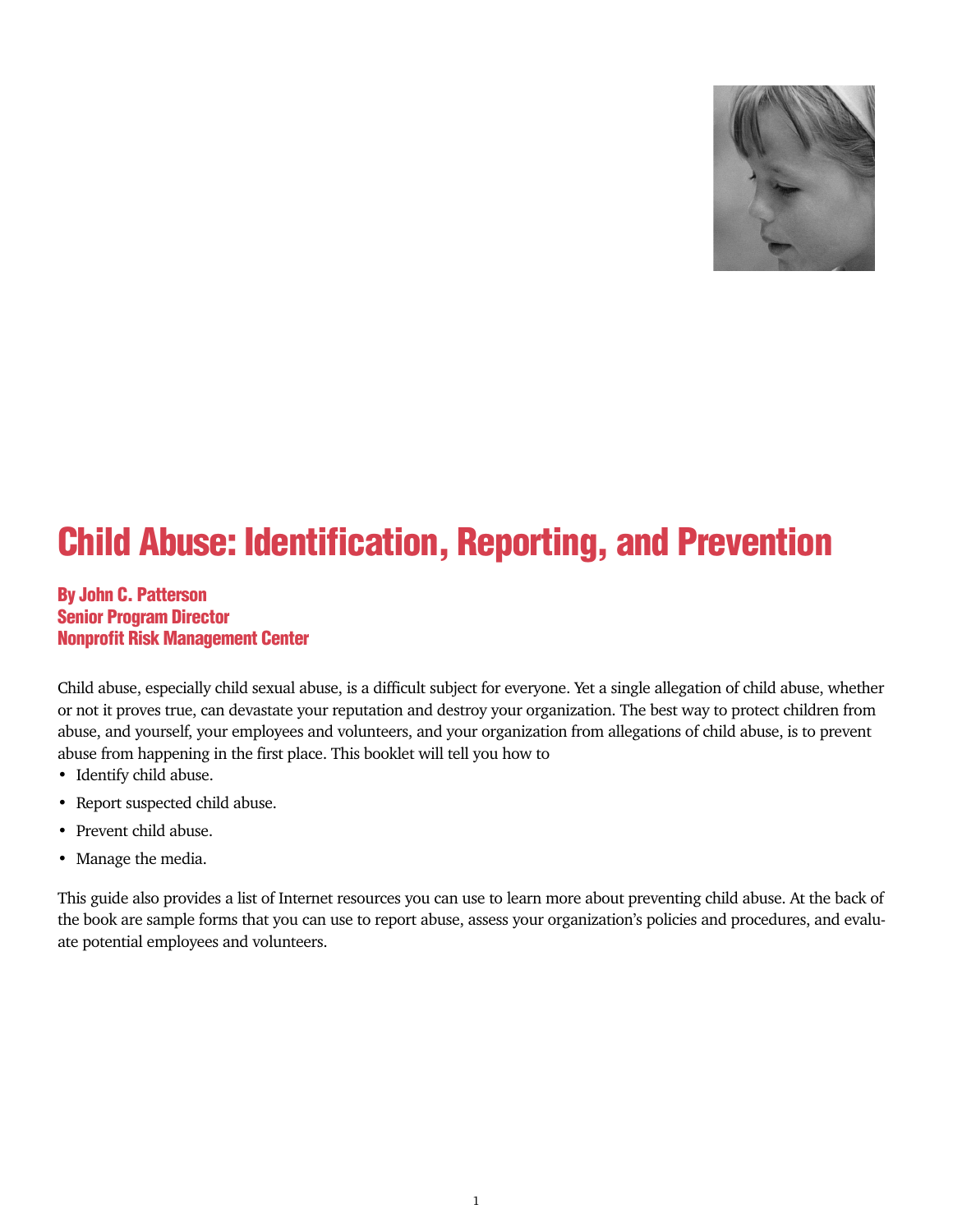

## **Child Abuse: Identification, Reporting, and Prevention**

#### **By John C. Patterson Senior Program Director Nonprofit Risk Management Center**

Child abuse, especially child sexual abuse, is a difficult subject for everyone. Yet a single allegation of child abuse, whether or not it proves true, can devastate your reputation and destroy your organization. The best way to protect children from abuse, and yourself, your employees and volunteers, and your organization from allegations of child abuse, is to prevent abuse from happening in the first place. This booklet will tell you how to

- Identify child abuse.
- Report suspected child abuse.
- Prevent child abuse.
- Manage the media.

This guide also provides a list of Internet resources you can use to learn more about preventing child abuse. At the back of the book are sample forms that you can use to report abuse, assess your organization's policies and procedures, and evaluate potential employees and volunteers.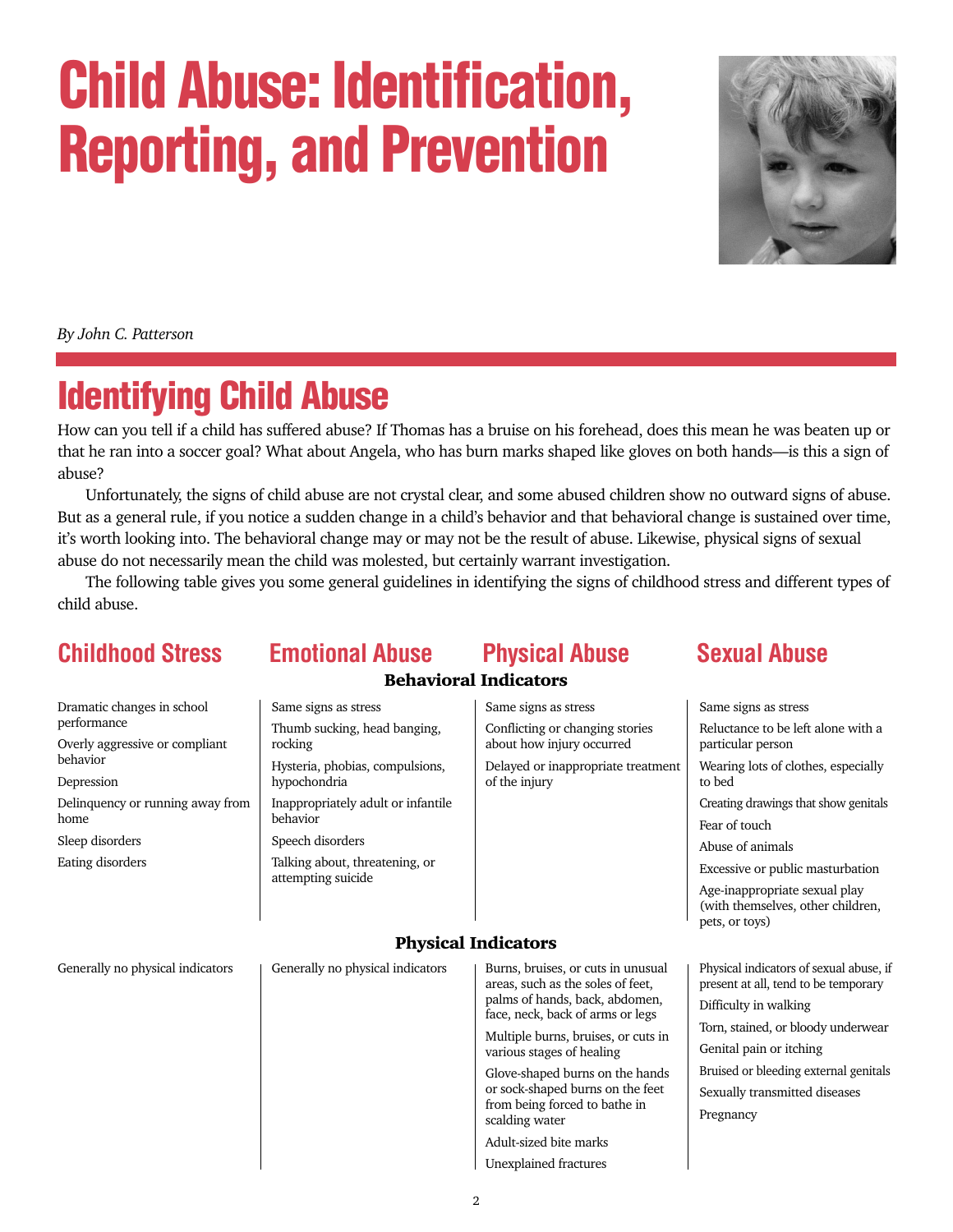# **Child Abuse: Identification, Reporting, and Prevention**



*By John C. Patterson*

## **Identifying Child Abuse**

How can you tell if a child has suffered abuse? If Thomas has a bruise on his forehead, does this mean he was beaten up or that he ran into a soccer goal? What about Angela, who has burn marks shaped like gloves on both hands—is this a sign of abuse?

Unfortunately, the signs of child abuse are not crystal clear, and some abused children show no outward signs of abuse. But as a general rule, if you notice a sudden change in a child's behavior and that behavioral change is sustained over time, it's worth looking into. The behavioral change may or may not be the result of abuse. Likewise, physical signs of sexual abuse do not necessarily mean the child was molested, but certainly warrant investigation.

The following table gives you some general guidelines in identifying the signs of childhood stress and different types of child abuse.

Dramatic changes in school

### **Childhood Stress Emotional Abuse Physical Abuse Sexual Abuse**

Behavioral Indicators

Same signs as stress Conflicting or changing stories about how injury occurred Delayed or inappropriate treatment of the injury

Same signs as stress Reluctance to be left alone with a particular person Wearing lots of clothes, especially to bed Creating drawings that show genitals Fear of touch Abuse of animals Excessive or public masturbation Age-inappropriate sexual play (with themselves, other children, pets, or toys) Physical indicators of sexual abuse, if present at all, tend to be temporary Difficulty in walking Torn, stained, or bloody underwear Genital pain or itching Bruised or bleeding external genitals Sexually transmitted diseases Pregnancy

performance Overly aggressive or compliant behavior Depression Delinquency or running away from home Sleep disorders

Eating disorders

Same signs as stress Thumb sucking, head banging, rocking Hysteria, phobias, compulsions, hypochondria Inappropriately adult or infantile behavior Speech disorders Talking about, threatening, or attempting suicide

### Physical Indicators

Generally no physical indicators (Generally no physical indicators (Burns, bruises, or cuts in unusual areas, such as the soles of feet, palms of hands, back, abdomen, face, neck, back of arms or legs Multiple burns, bruises, or cuts in various stages of healing Glove-shaped burns on the hands or sock-shaped burns on the feet from being forced to bathe in scalding water Adult-sized bite marks Unexplained fractures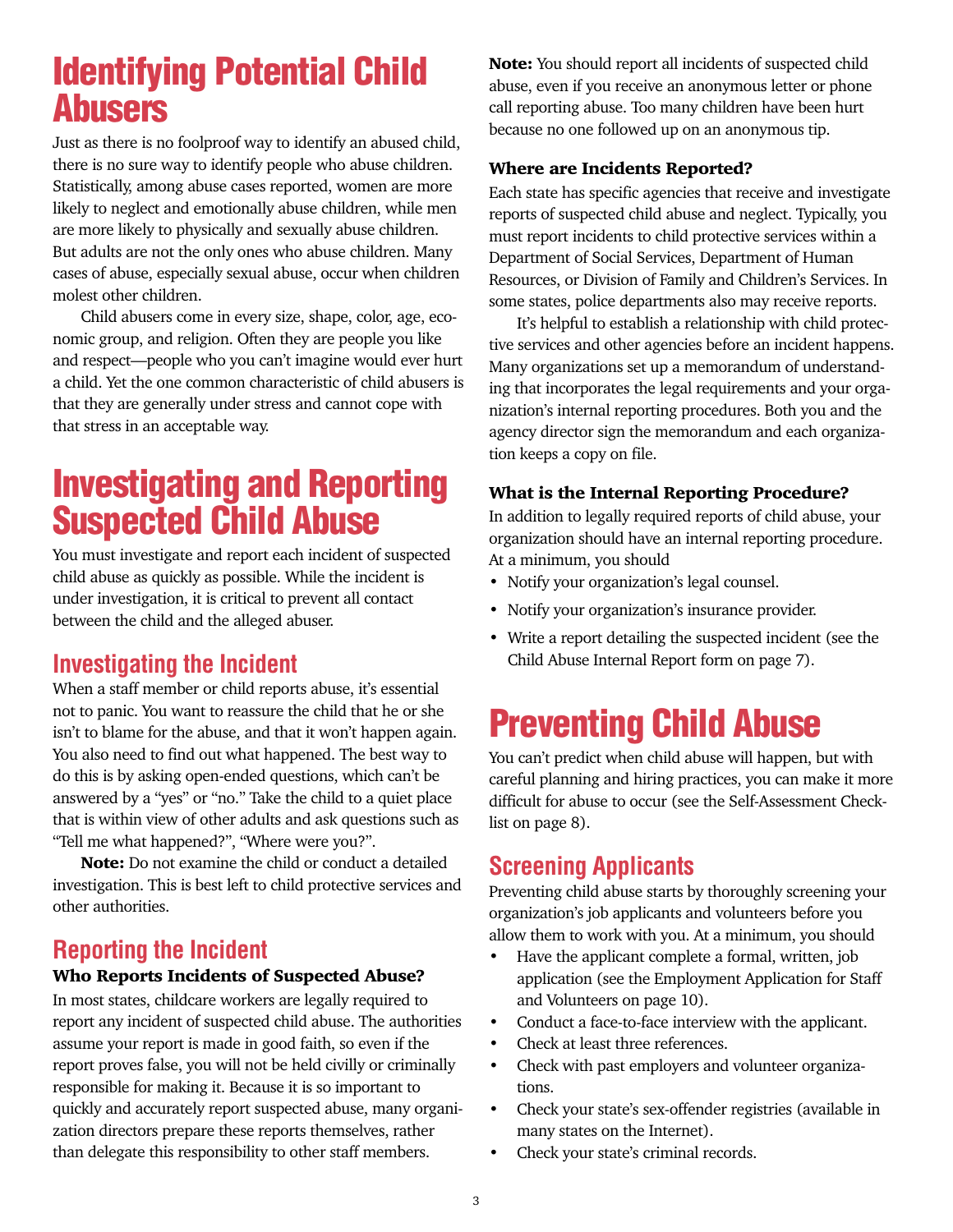### **Identifying Potential Child Abusers**

Just as there is no foolproof way to identify an abused child, there is no sure way to identify people who abuse children. Statistically, among abuse cases reported, women are more likely to neglect and emotionally abuse children, while men are more likely to physically and sexually abuse children. But adults are not the only ones who abuse children. Many cases of abuse, especially sexual abuse, occur when children molest other children.

Child abusers come in every size, shape, color, age, economic group, and religion. Often they are people you like and respect—people who you can't imagine would ever hurt a child. Yet the one common characteristic of child abusers is that they are generally under stress and cannot cope with that stress in an acceptable way.

### **Investigating and Reporting Suspected Child Abuse**

You must investigate and report each incident of suspected child abuse as quickly as possible. While the incident is under investigation, it is critical to prevent all contact between the child and the alleged abuser.

#### **Investigating the Incident**

When a staff member or child reports abuse, it's essential not to panic. You want to reassure the child that he or she isn't to blame for the abuse, and that it won't happen again. You also need to find out what happened. The best way to do this is by asking open-ended questions, which can't be answered by a "yes" or "no." Take the child to a quiet place that is within view of other adults and ask questions such as "Tell me what happened?", "Where were you?".

Note: Do not examine the child or conduct a detailed investigation. This is best left to child protective services and other authorities.

#### **Reporting the Incident**

#### Who Reports Incidents of Suspected Abuse?

In most states, childcare workers are legally required to report any incident of suspected child abuse. The authorities assume your report is made in good faith, so even if the report proves false, you will not be held civilly or criminally responsible for making it. Because it is so important to quickly and accurately report suspected abuse, many organization directors prepare these reports themselves, rather than delegate this responsibility to other staff members.

Note: You should report all incidents of suspected child abuse, even if you receive an anonymous letter or phone call reporting abuse. Too many children have been hurt because no one followed up on an anonymous tip.

#### Where are Incidents Reported?

Each state has specific agencies that receive and investigate reports of suspected child abuse and neglect. Typically, you must report incidents to child protective services within a Department of Social Services, Department of Human Resources, or Division of Family and Children's Services. In some states, police departments also may receive reports.

It's helpful to establish a relationship with child protective services and other agencies before an incident happens. Many organizations set up a memorandum of understanding that incorporates the legal requirements and your organization's internal reporting procedures. Both you and the agency director sign the memorandum and each organization keeps a copy on file.

#### What is the Internal Reporting Procedure?

In addition to legally required reports of child abuse, your organization should have an internal reporting procedure. At a minimum, you should

- Notify your organization's legal counsel.
- Notify your organization's insurance provider.
- Write a report detailing the suspected incident (see the Child Abuse Internal Report form on page 7).

## **Preventing Child Abuse**

You can't predict when child abuse will happen, but with careful planning and hiring practices, you can make it more difficult for abuse to occur (see the Self-Assessment Checklist on page 8).

### **Screening Applicants**

Preventing child abuse starts by thoroughly screening your organization's job applicants and volunteers before you allow them to work with you. At a minimum, you should

- Have the applicant complete a formal, written, job application (see the Employment Application for Staff and Volunteers on page 10).
- Conduct a face-to-face interview with the applicant.
- Check at least three references.
- Check with past employers and volunteer organizations.
- Check your state's sex-offender registries (available in many states on the Internet).
- Check your state's criminal records.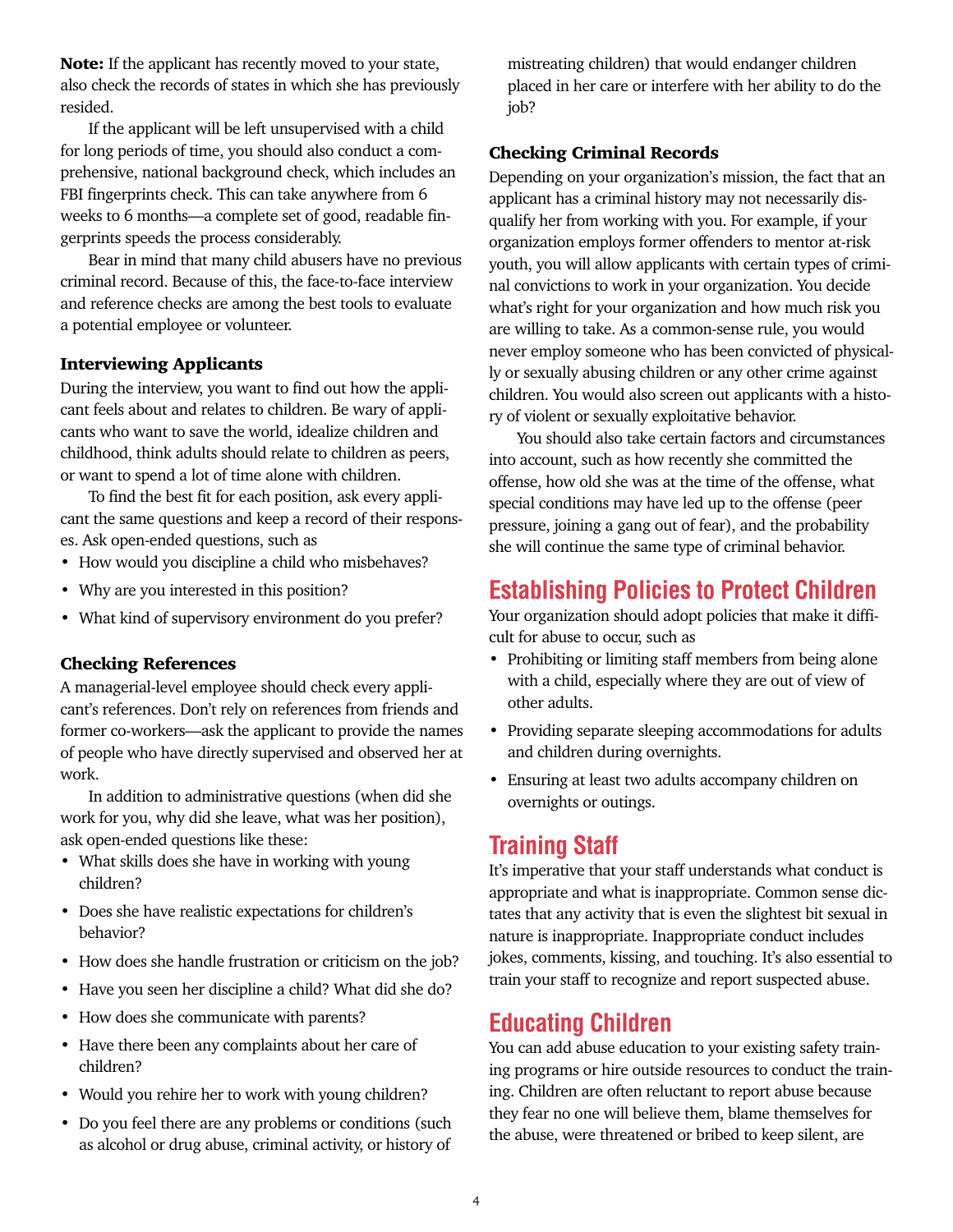Note: If the applicant has recently moved to your state, also check the records of states in which she has previously resided.

If the applicant will be left unsupervised with a child for long periods of time, you should also conduct a comprehensive, national background check, which includes an FBI fingerprints check. This can take anywhere from 6 weeks to 6 months—a complete set of good, readable fingerprints speeds the process considerably.

Bear in mind that many child abusers have no previous criminal record. Because of this, the face-to-face interview and reference checks are among the best tools to evaluate a potential employee or volunteer.

#### Interviewing Applicants

During the interview, you want to find out how the applicant feels about and relates to children. Be wary of applicants who want to save the world, idealize children and childhood, think adults should relate to children as peers, or want to spend a lot of time alone with children.

To find the best fit for each position, ask every applicant the same questions and keep a record of their responses. Ask open-ended questions, such as

- How would you discipline a child who misbehaves?
- Why are you interested in this position?
- What kind of supervisory environment do you prefer?

#### Checking References

A managerial-level employee should check every applicant's references. Don't rely on references from friends and former co-workers—ask the applicant to provide the names of people who have directly supervised and observed her at work.

In addition to administrative questions (when did she work for you, why did she leave, what was her position), ask open-ended questions like these:

- What skills does she have in working with young children?
- Does she have realistic expectations for children's behavior?
- How does she handle frustration or criticism on the job?
- Have you seen her discipline a child? What did she do?
- How does she communicate with parents?
- Have there been any complaints about her care of children?
- Would you rehire her to work with young children?
- Do you feel there are any problems or conditions (such as alcohol or drug abuse, criminal activity, or history of

mistreating children) that would endanger children placed in her care or interfere with her ability to do the job?

#### Checking Criminal Records

Depending on your organization's mission, the fact that an applicant has a criminal history may not necessarily disqualify her from working with you. For example, if your organization employs former offenders to mentor at-risk youth, you will allow applicants with certain types of criminal convictions to work in your organization. You decide what's right for your organization and how much risk you are willing to take. As a common-sense rule, you would never employ someone who has been convicted of physically or sexually abusing children or any other crime against children. You would also screen out applicants with a history of violent or sexually exploitative behavior.

You should also take certain factors and circumstances into account, such as how recently she committed the offense, how old she was at the time of the offense, what special conditions may have led up to the offense (peer pressure, joining a gang out of fear), and the probability she will continue the same type of criminal behavior.

#### **Establishing Policies to Protect Children**

Your organization should adopt policies that make it difficult for abuse to occur, such as

- Prohibiting or limiting staff members from being alone with a child, especially where they are out of view of other adults.
- Providing separate sleeping accommodations for adults and children during overnights.
- Ensuring at least two adults accompany children on overnights or outings.

#### **Training Staff**

It's imperative that your staff understands what conduct is appropriate and what is inappropriate. Common sense dictates that any activity that is even the slightest bit sexual in nature is inappropriate. Inappropriate conduct includes jokes, comments, kissing, and touching. It's also essential to train your staff to recognize and report suspected abuse.

#### **Educating Children**

You can add abuse education to your existing safety training programs or hire outside resources to conduct the training. Children are often reluctant to report abuse because they fear no one will believe them, blame themselves for the abuse, were threatened or bribed to keep silent, are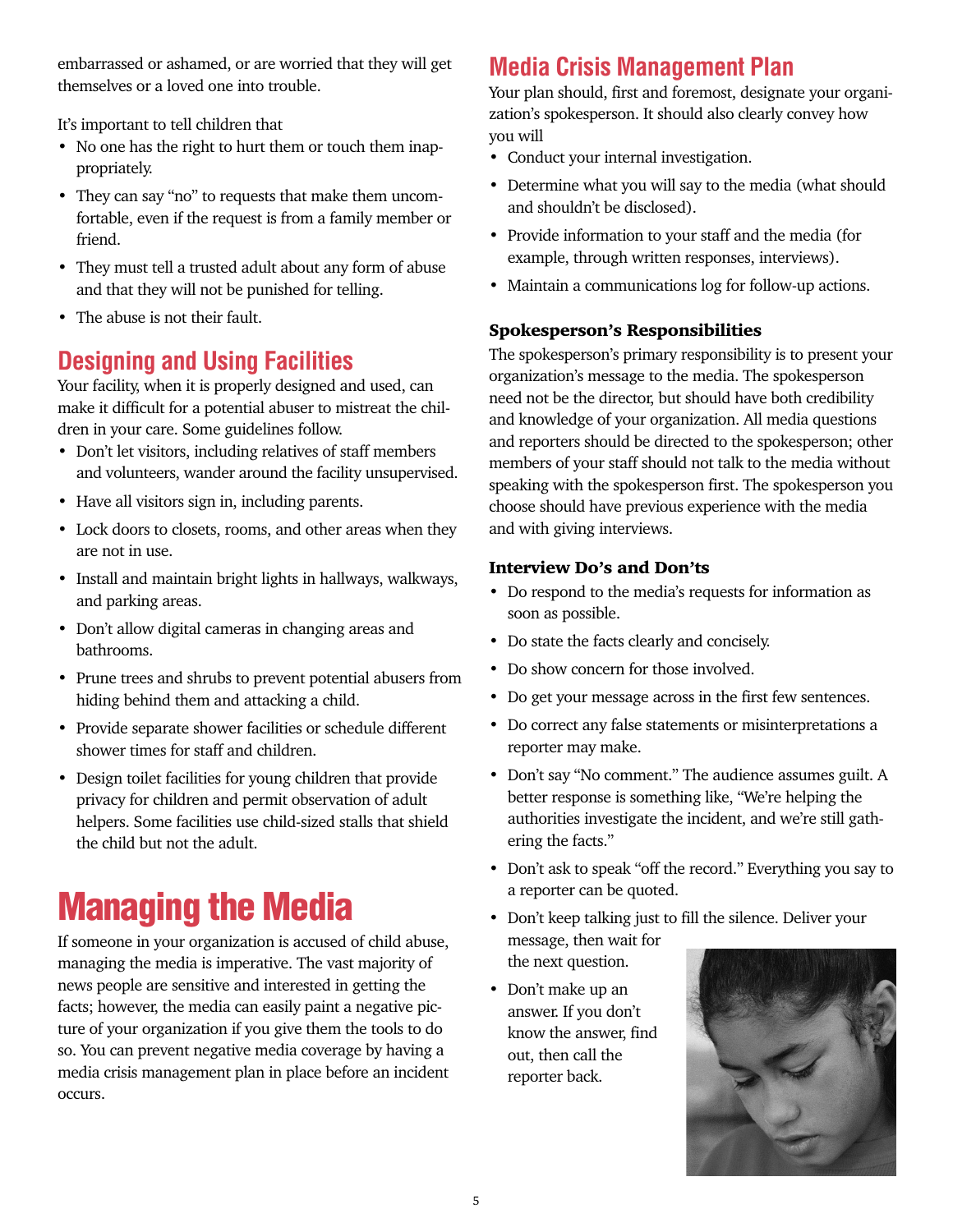embarrassed or ashamed, or are worried that they will get themselves or a loved one into trouble.

It's important to tell children that

- No one has the right to hurt them or touch them inappropriately.
- They can say "no" to requests that make them uncomfortable, even if the request is from a family member or friend.
- They must tell a trusted adult about any form of abuse and that they will not be punished for telling.
- The abuse is not their fault.

### **Designing and Using Facilities**

Your facility, when it is properly designed and used, can make it difficult for a potential abuser to mistreat the children in your care. Some guidelines follow.

- Don't let visitors, including relatives of staff members and volunteers, wander around the facility unsupervised.
- Have all visitors sign in, including parents.
- Lock doors to closets, rooms, and other areas when they are not in use.
- Install and maintain bright lights in hallways, walkways, and parking areas.
- Don't allow digital cameras in changing areas and bathrooms.
- Prune trees and shrubs to prevent potential abusers from hiding behind them and attacking a child.
- Provide separate shower facilities or schedule different shower times for staff and children.
- Design toilet facilities for young children that provide privacy for children and permit observation of adult helpers. Some facilities use child-sized stalls that shield the child but not the adult.

## **Managing the Media**

If someone in your organization is accused of child abuse, managing the media is imperative. The vast majority of news people are sensitive and interested in getting the facts; however, the media can easily paint a negative picture of your organization if you give them the tools to do so. You can prevent negative media coverage by having a media crisis management plan in place before an incident occurs.

### **Media Crisis Management Plan**

Your plan should, first and foremost, designate your organization's spokesperson. It should also clearly convey how you will

- Conduct your internal investigation.
- Determine what you will say to the media (what should and shouldn't be disclosed).
- Provide information to your staff and the media (for example, through written responses, interviews).
- Maintain a communications log for follow-up actions.

#### Spokesperson's Responsibilities

The spokesperson's primary responsibility is to present your organization's message to the media. The spokesperson need not be the director, but should have both credibility and knowledge of your organization. All media questions and reporters should be directed to the spokesperson; other members of your staff should not talk to the media without speaking with the spokesperson first. The spokesperson you choose should have previous experience with the media and with giving interviews.

#### Interview Do's and Don'ts

- Do respond to the media's requests for information as soon as possible.
- Do state the facts clearly and concisely.
- Do show concern for those involved.
- Do get your message across in the first few sentences.
- Do correct any false statements or misinterpretations a reporter may make.
- Don't say "No comment." The audience assumes guilt. A better response is something like, "We're helping the authorities investigate the incident, and we're still gathering the facts."
- Don't ask to speak "off the record." Everything you say to a reporter can be quoted.
- Don't keep talking just to fill the silence. Deliver your message, then wait for the next question.
- Don't make up an answer. If you don't know the answer, find out, then call the reporter back.

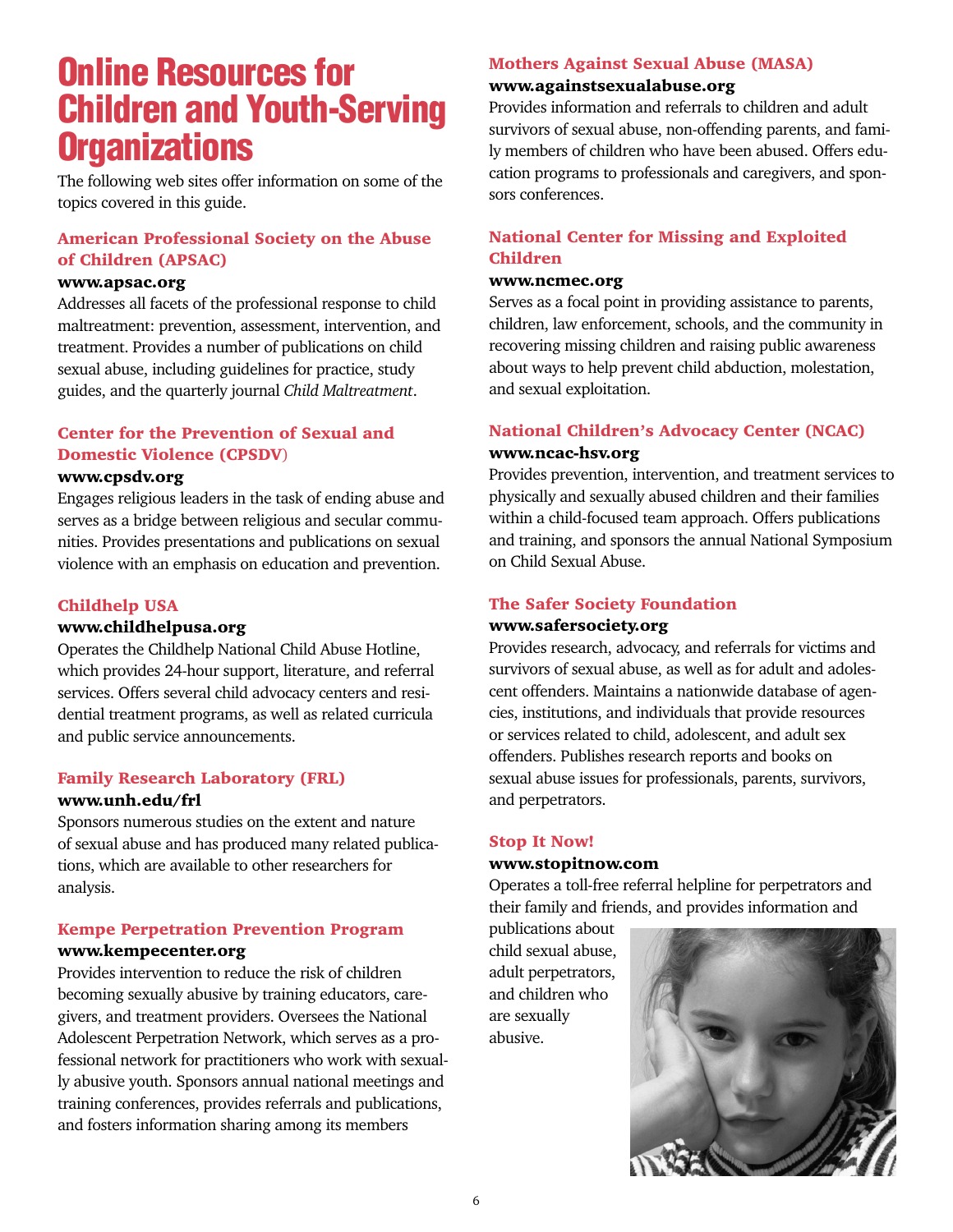### **Online Resources for Children and Youth-Serving Organizations**

The following web sites offer information on some of the topics covered in this guide.

#### American Professional Society on the Abuse of Children (APSAC)

#### www.apsac.org

Addresses all facets of the professional response to child maltreatment: prevention, assessment, intervention, and treatment. Provides a number of publications on child sexual abuse, including guidelines for practice, study guides, and the quarterly journal *Child Maltreatment*.

#### Center for the Prevention of Sexual and Domestic Violence (CPSDV)

#### www.cpsdv.org

Engages religious leaders in the task of ending abuse and serves as a bridge between religious and secular communities. Provides presentations and publications on sexual violence with an emphasis on education and prevention.

#### Childhelp USA

#### www.childhelpusa.org

Operates the Childhelp National Child Abuse Hotline, which provides 24-hour support, literature, and referral services. Offers several child advocacy centers and residential treatment programs, as well as related curricula and public service announcements.

#### Family Research Laboratory (FRL)

#### www.unh.edu/frl

Sponsors numerous studies on the extent and nature of sexual abuse and has produced many related publications, which are available to other researchers for analysis.

#### Kempe Perpetration Prevention Program www.kempecenter.org

Provides intervention to reduce the risk of children becoming sexually abusive by training educators, caregivers, and treatment providers. Oversees the National Adolescent Perpetration Network, which serves as a professional network for practitioners who work with sexually abusive youth. Sponsors annual national meetings and training conferences, provides referrals and publications, and fosters information sharing among its members

#### Mothers Against Sexual Abuse (MASA)

#### www.againstsexualabuse.org

Provides information and referrals to children and adult survivors of sexual abuse, non-offending parents, and family members of children who have been abused. Offers education programs to professionals and caregivers, and sponsors conferences.

#### National Center for Missing and Exploited Children

#### www.ncmec.org

Serves as a focal point in providing assistance to parents, children, law enforcement, schools, and the community in recovering missing children and raising public awareness about ways to help prevent child abduction, molestation, and sexual exploitation.

#### National Children's Advocacy Center (NCAC)

#### www.ncac-hsv.org

Provides prevention, intervention, and treatment services to physically and sexually abused children and their families within a child-focused team approach. Offers publications and training, and sponsors the annual National Symposium on Child Sexual Abuse.

#### The Safer Society Foundation

#### www.safersociety.org

Provides research, advocacy, and referrals for victims and survivors of sexual abuse, as well as for adult and adolescent offenders. Maintains a nationwide database of agencies, institutions, and individuals that provide resources or services related to child, adolescent, and adult sex offenders. Publishes research reports and books on sexual abuse issues for professionals, parents, survivors, and perpetrators.

#### Stop It Now!

#### www.stopitnow.com

Operates a toll-free referral helpline for perpetrators and their family and friends, and provides information and

publications about child sexual abuse, adult perpetrators, and children who are sexually abusive.

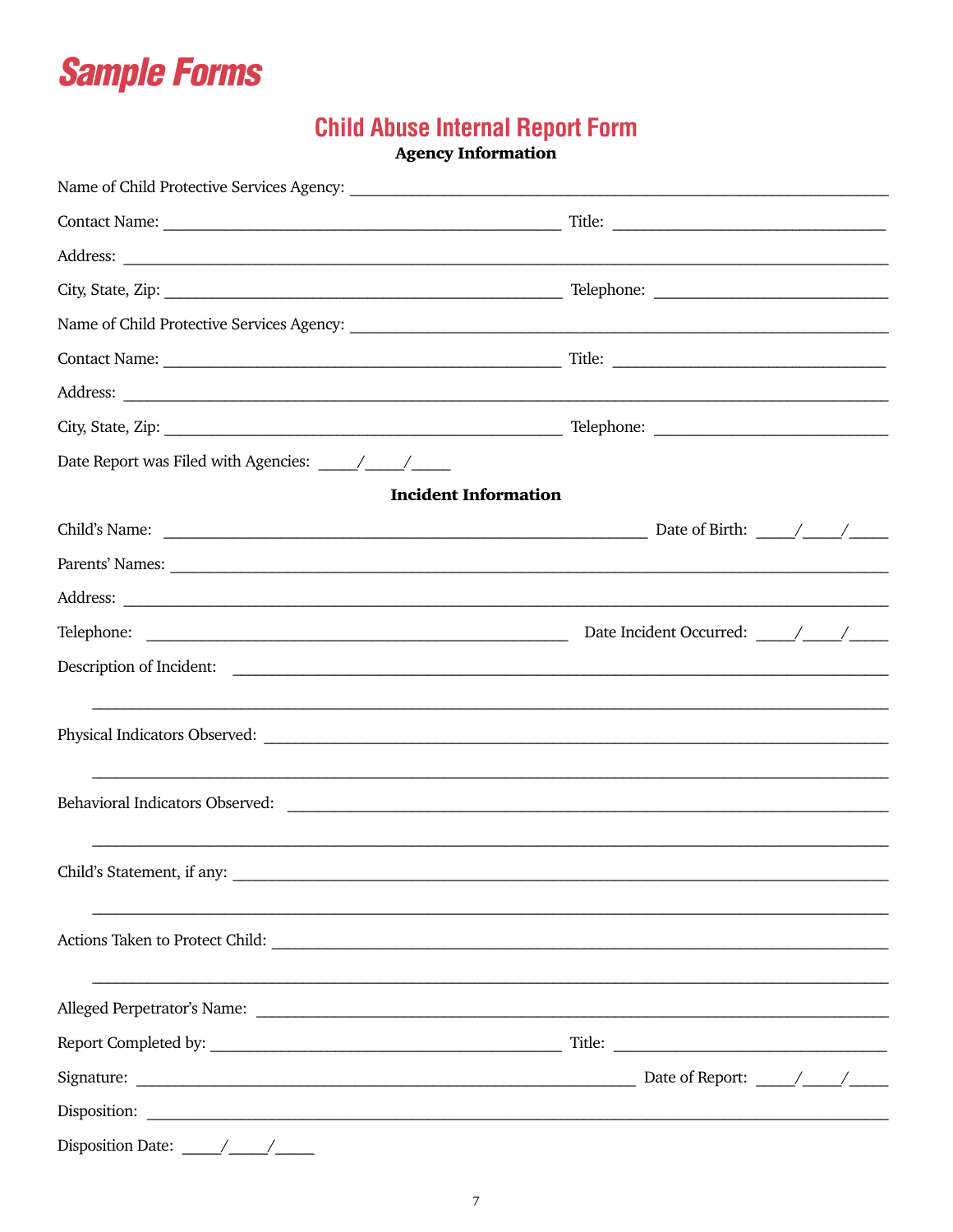

# **Child Abuse Internal Report Form**<br>Agency Information

| Address: <u>example and the contract of the contract of the contract of the contract of the contract of the contract of the contract of the contract of the contract of the contract of the contract of the contract of the cont</u> |                             |
|--------------------------------------------------------------------------------------------------------------------------------------------------------------------------------------------------------------------------------------|-----------------------------|
|                                                                                                                                                                                                                                      |                             |
|                                                                                                                                                                                                                                      |                             |
|                                                                                                                                                                                                                                      | <b>Incident Information</b> |
|                                                                                                                                                                                                                                      |                             |
|                                                                                                                                                                                                                                      |                             |
|                                                                                                                                                                                                                                      |                             |
|                                                                                                                                                                                                                                      |                             |
|                                                                                                                                                                                                                                      |                             |
|                                                                                                                                                                                                                                      |                             |
|                                                                                                                                                                                                                                      |                             |
|                                                                                                                                                                                                                                      |                             |
|                                                                                                                                                                                                                                      |                             |
|                                                                                                                                                                                                                                      |                             |
| Child's Statement, if any:                                                                                                                                                                                                           |                             |
|                                                                                                                                                                                                                                      |                             |
|                                                                                                                                                                                                                                      |                             |
|                                                                                                                                                                                                                                      |                             |
|                                                                                                                                                                                                                                      |                             |
|                                                                                                                                                                                                                                      |                             |
|                                                                                                                                                                                                                                      |                             |
|                                                                                                                                                                                                                                      |                             |
|                                                                                                                                                                                                                                      |                             |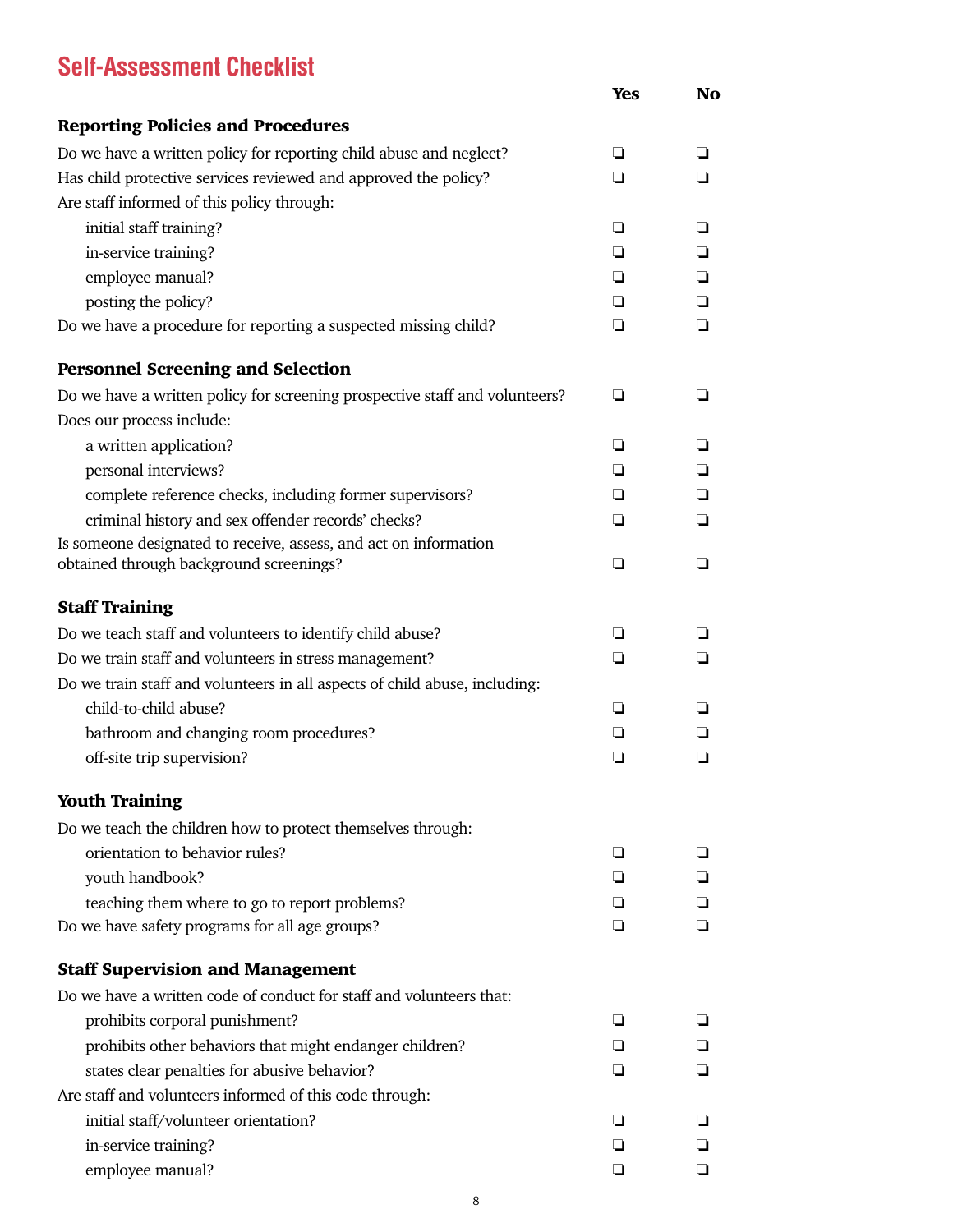### **Self-Assessment Checklist**

| UN AWUUUUNIUNII UNUUNIUL                                                                                       | <b>Yes</b> | <b>No</b> |
|----------------------------------------------------------------------------------------------------------------|------------|-----------|
|                                                                                                                |            |           |
| <b>Reporting Policies and Procedures</b>                                                                       |            |           |
| Do we have a written policy for reporting child abuse and neglect?                                             | ❏          | ◻         |
| Has child protective services reviewed and approved the policy?                                                | ⊔          | ப         |
| Are staff informed of this policy through:                                                                     |            |           |
| initial staff training?                                                                                        | ❏          | □         |
| in-service training?                                                                                           | ❏          | ❏         |
| employee manual?                                                                                               | ❏          | ◻         |
| posting the policy?                                                                                            | ❏          | □         |
| Do we have a procedure for reporting a suspected missing child?                                                | ◻          | □         |
| <b>Personnel Screening and Selection</b>                                                                       |            |           |
| Do we have a written policy for screening prospective staff and volunteers?                                    | ❏          | □         |
| Does our process include:                                                                                      |            |           |
| a written application?                                                                                         | □          | ◻         |
| personal interviews?                                                                                           | ❏          | □         |
| complete reference checks, including former supervisors?                                                       | ⊔          | ⊔         |
| criminal history and sex offender records' checks?                                                             | ❏          | □         |
| Is someone designated to receive, assess, and act on information                                               |            |           |
| obtained through background screenings?                                                                        | ❏          | □         |
| <b>Staff Training</b>                                                                                          |            |           |
| Do we teach staff and volunteers to identify child abuse?                                                      | □          | П         |
| Do we train staff and volunteers in stress management?                                                         | ❏          | □         |
| Do we train staff and volunteers in all aspects of child abuse, including:                                     |            |           |
| child-to-child abuse?                                                                                          | □          | П         |
| bathroom and changing room procedures?                                                                         | ❏          | □         |
| off-site trip supervision?                                                                                     | ❏          | ❏         |
| <b>Youth Training</b>                                                                                          |            |           |
| Do we teach the children how to protect themselves through:                                                    |            |           |
| orientation to behavior rules?                                                                                 | □          | l 1       |
| youth handbook?                                                                                                | ⊔          |           |
| teaching them where to go to report problems?                                                                  | □          |           |
| Do we have safety programs for all age groups?                                                                 | □          | l 1       |
|                                                                                                                |            |           |
| <b>Staff Supervision and Management</b><br>Do we have a written code of conduct for staff and volunteers that: |            |           |
|                                                                                                                |            |           |
| prohibits corporal punishment?                                                                                 | □          |           |
| prohibits other behaviors that might endanger children?                                                        | ⊔          |           |
| states clear penalties for abusive behavior?                                                                   | □          | ⊓         |
| Are staff and volunteers informed of this code through:                                                        |            |           |
| initial staff/volunteer orientation?                                                                           | ப          |           |
| in-service training?                                                                                           | □          |           |
| employee manual?                                                                                               | ⊔          |           |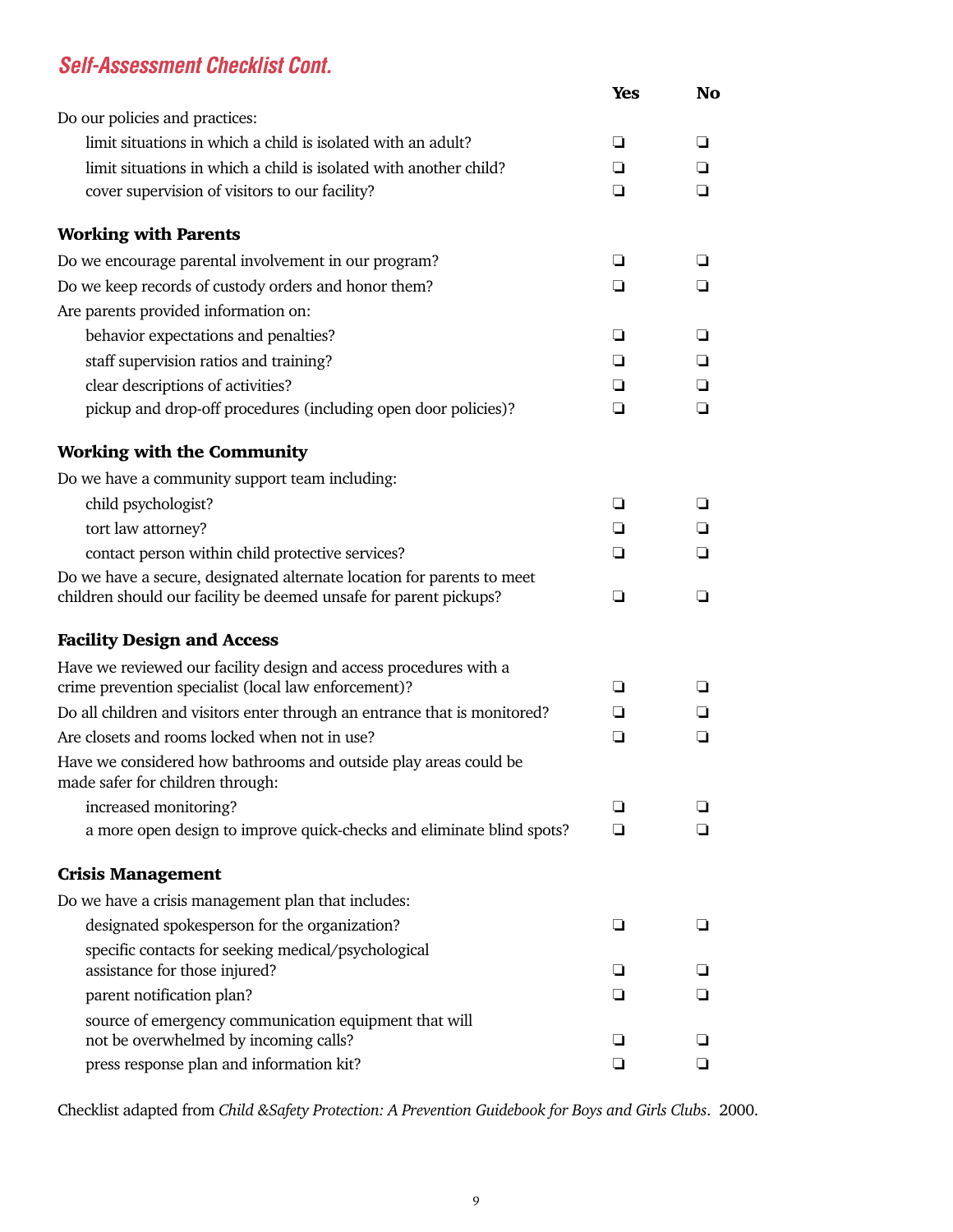### *Self-Assessment Checklist Cont.*

|                                                                                                                                             | <b>Yes</b> | No |
|---------------------------------------------------------------------------------------------------------------------------------------------|------------|----|
| Do our policies and practices:                                                                                                              |            |    |
| limit situations in which a child is isolated with an adult?                                                                                | ❏          | ❏  |
| limit situations in which a child is isolated with another child?                                                                           | ❏          | ❏  |
| cover supervision of visitors to our facility?                                                                                              | ❏          | ❏  |
| <b>Working with Parents</b>                                                                                                                 |            |    |
| Do we encourage parental involvement in our program?                                                                                        | ❏          | ❏  |
| Do we keep records of custody orders and honor them?                                                                                        | ❏          | ❏  |
| Are parents provided information on:                                                                                                        |            |    |
| behavior expectations and penalties?                                                                                                        | ❏          | ❏  |
| staff supervision ratios and training?                                                                                                      | ❏          | ❏  |
| clear descriptions of activities?                                                                                                           | ◻          | ❏  |
| pickup and drop-off procedures (including open door policies)?                                                                              | ❏          | ◻  |
| <b>Working with the Community</b>                                                                                                           |            |    |
| Do we have a community support team including:                                                                                              |            |    |
| child psychologist?                                                                                                                         | ❏          | ❏  |
| tort law attorney?                                                                                                                          | ❏          | ❏  |
| contact person within child protective services?                                                                                            | ◻          | ❏  |
| Do we have a secure, designated alternate location for parents to meet<br>children should our facility be deemed unsafe for parent pickups? | ❏          | ❏  |
| <b>Facility Design and Access</b>                                                                                                           |            |    |
| Have we reviewed our facility design and access procedures with a                                                                           |            |    |
| crime prevention specialist (local law enforcement)?                                                                                        | ❏          | ◻  |
| Do all children and visitors enter through an entrance that is monitored?                                                                   | ◻          | ◻  |
| Are closets and rooms locked when not in use?                                                                                               | ◘          | ❏  |
| Have we considered how bathrooms and outside play areas could be<br>made safer for children through:                                        |            |    |
| increased monitoring?                                                                                                                       | n          |    |
| a more open design to improve quick-checks and eliminate blind spots?                                                                       | ◻          | ❏  |
| <b>Crisis Management</b>                                                                                                                    |            |    |
| Do we have a crisis management plan that includes:                                                                                          |            |    |
| designated spokesperson for the organization?                                                                                               | ◻          | ◻  |
| specific contacts for seeking medical/psychological                                                                                         |            |    |
| assistance for those injured?                                                                                                               | ❏          | ப  |
| parent notification plan?                                                                                                                   | ◻          | ◻  |
| source of emergency communication equipment that will                                                                                       |            |    |
| not be overwhelmed by incoming calls?                                                                                                       | ப          |    |
| press response plan and information kit?                                                                                                    | ❏          | ❏  |

Checklist adapted from *Child &Safety Protection: A Prevention Guidebook for Boys and Girls Clubs*. 2000.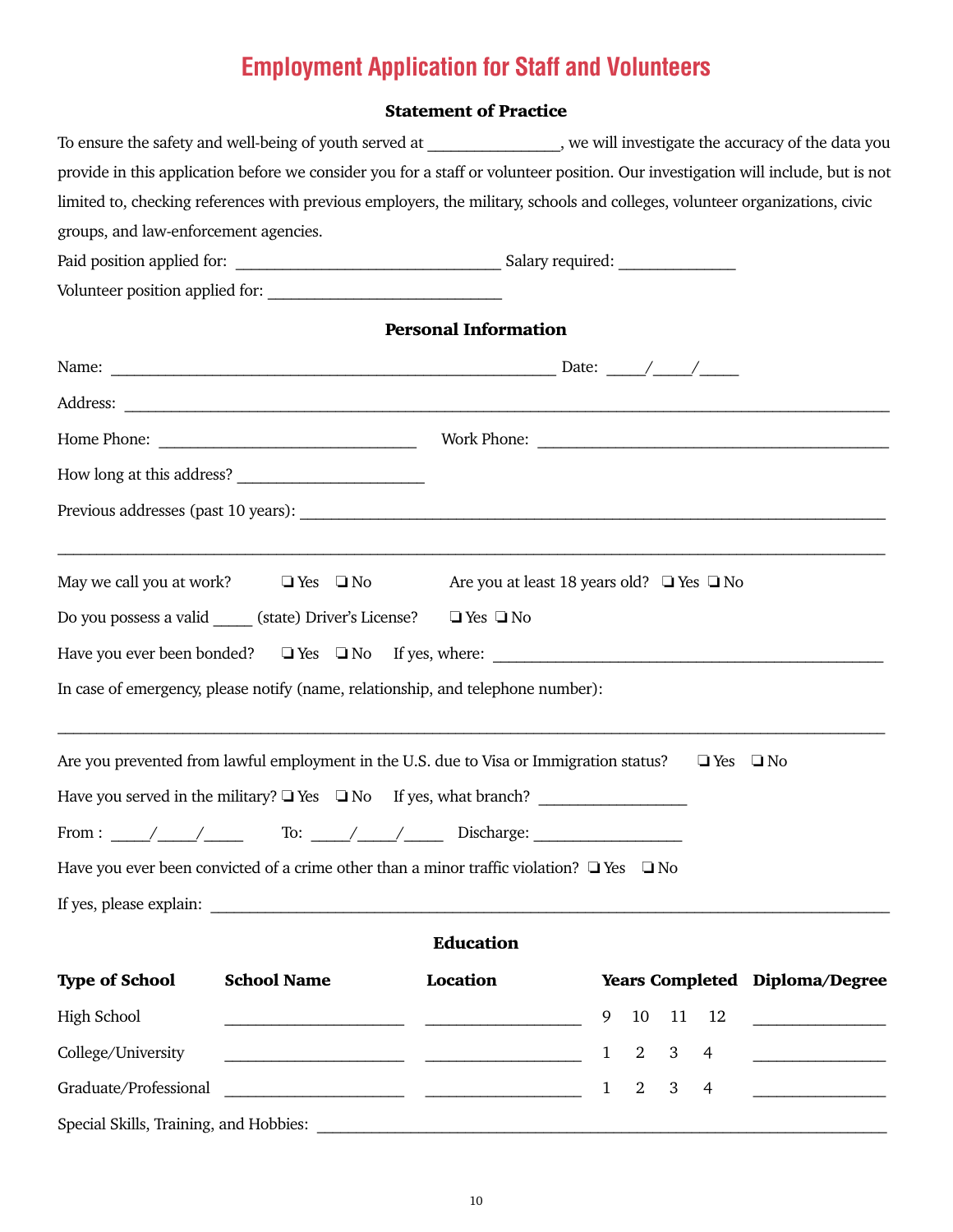### **Employment Application for Staff and Volunteers**

#### Statement of Practice

|                                        | To ensure the safety and well-being of youth served at ________________, we will investigate the accuracy of the data you        |                                                                    |                                                                                                                       |                |              |                |                                           |
|----------------------------------------|----------------------------------------------------------------------------------------------------------------------------------|--------------------------------------------------------------------|-----------------------------------------------------------------------------------------------------------------------|----------------|--------------|----------------|-------------------------------------------|
|                                        | provide in this application before we consider you for a staff or volunteer position. Our investigation will include, but is not |                                                                    |                                                                                                                       |                |              |                |                                           |
|                                        | limited to, checking references with previous employers, the military, schools and colleges, volunteer organizations, civic      |                                                                    |                                                                                                                       |                |              |                |                                           |
| groups, and law-enforcement agencies.  |                                                                                                                                  |                                                                    |                                                                                                                       |                |              |                |                                           |
|                                        |                                                                                                                                  |                                                                    |                                                                                                                       |                |              |                |                                           |
|                                        |                                                                                                                                  |                                                                    |                                                                                                                       |                |              |                |                                           |
|                                        |                                                                                                                                  | <b>Personal Information</b>                                        |                                                                                                                       |                |              |                |                                           |
|                                        |                                                                                                                                  |                                                                    |                                                                                                                       |                |              |                |                                           |
|                                        |                                                                                                                                  |                                                                    |                                                                                                                       |                |              |                |                                           |
|                                        |                                                                                                                                  |                                                                    |                                                                                                                       |                |              |                |                                           |
|                                        |                                                                                                                                  |                                                                    |                                                                                                                       |                |              |                |                                           |
|                                        |                                                                                                                                  |                                                                    |                                                                                                                       |                |              |                |                                           |
|                                        | May we call you at work? $\square$ Yes $\square$ No Are you at least 18 years old? $\square$ Yes $\square$ No                    |                                                                    |                                                                                                                       |                |              |                |                                           |
|                                        | Do you possess a valid _____ (state) Driver's License? □ Yes □ No                                                                |                                                                    |                                                                                                                       |                |              |                |                                           |
|                                        | Have you ever been bonded?  Q Yes Q No If yes, where: ___________________________                                                |                                                                    |                                                                                                                       |                |              |                |                                           |
|                                        | In case of emergency, please notify (name, relationship, and telephone number):                                                  |                                                                    |                                                                                                                       |                |              |                |                                           |
|                                        | Are you prevented from lawful employment in the U.S. due to Visa or Immigration status?                                          |                                                                    |                                                                                                                       |                |              | $\Box$ Yes     | $\square$ No                              |
|                                        |                                                                                                                                  |                                                                    |                                                                                                                       |                |              |                |                                           |
|                                        | From : $\qquad$ / To: $\qquad$ / Discharge:                                                                                      |                                                                    | <u> 1980 - Jan Barbara Barbara, prima prima prima prima prima prima prima prima prima prima prima prima prima pri</u> |                |              |                |                                           |
|                                        | Have you ever been convicted of a crime other than a minor traffic violation? $\Box$ Yes $\Box$ No                               |                                                                    |                                                                                                                       |                |              |                |                                           |
|                                        |                                                                                                                                  |                                                                    |                                                                                                                       |                |              |                |                                           |
|                                        |                                                                                                                                  | <b>Education</b>                                                   |                                                                                                                       |                |              |                |                                           |
| <b>Type of School</b>                  | <b>School Name</b>                                                                                                               | Location                                                           |                                                                                                                       |                |              |                | Years Completed Diploma/Degree            |
| High School                            |                                                                                                                                  |                                                                    | 9                                                                                                                     | 10             | 11           | 12             |                                           |
| College/University                     |                                                                                                                                  |                                                                    | $\mathbf{1}$                                                                                                          | $\overline{2}$ | 3            | $\overline{4}$ |                                           |
| Graduate/Professional                  |                                                                                                                                  | <u> 1989 - Jan Samuel Barbara, margaret eta idazlea (h. 1989).</u> | $\mathbf{1}$                                                                                                          | $\overline{2}$ | $\mathbf{3}$ | $\overline{4}$ | <u> 1989 - Andrea Barbara, poeta espa</u> |
| Special Skills, Training, and Hobbies: |                                                                                                                                  |                                                                    |                                                                                                                       |                |              |                |                                           |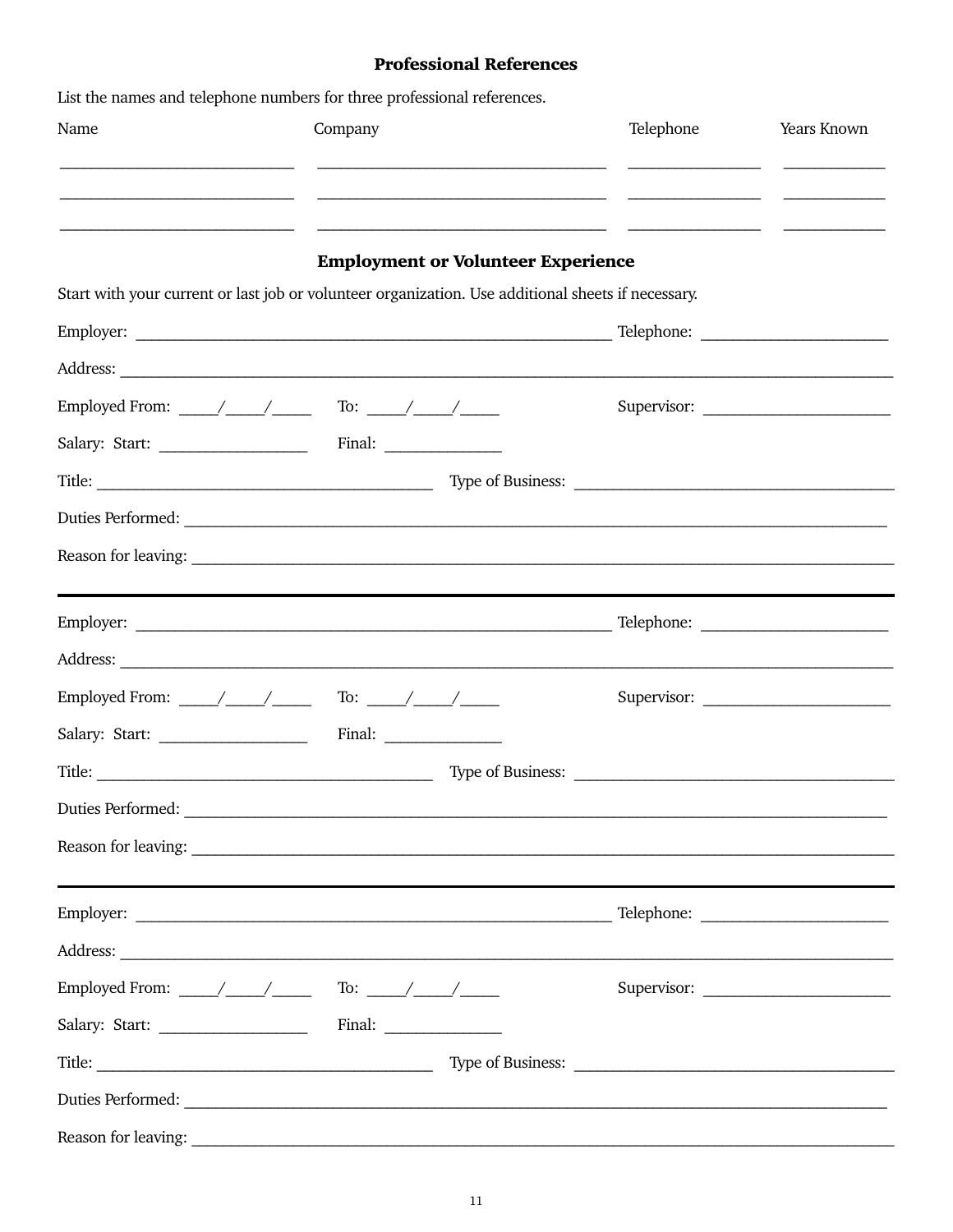#### **Professional References**

| List the names and telephone numbers for three professional references.                            |  |                                                                                                                         |                   |             |
|----------------------------------------------------------------------------------------------------|--|-------------------------------------------------------------------------------------------------------------------------|-------------------|-------------|
| Name<br>Company                                                                                    |  |                                                                                                                         | Telephone         | Years Known |
|                                                                                                    |  | <u> The Communication of the Communication of the Communication of the Communication of the Communication of the Co</u> |                   |             |
|                                                                                                    |  |                                                                                                                         |                   |             |
|                                                                                                    |  | <b>Employment or Volunteer Experience</b>                                                                               |                   |             |
| Start with your current or last job or volunteer organization. Use additional sheets if necessary. |  |                                                                                                                         |                   |             |
|                                                                                                    |  |                                                                                                                         |                   |             |
| Address:                                                                                           |  |                                                                                                                         |                   |             |
| Employed From: $\frac{1}{\sqrt{1-\frac{1}{2}}}$ To: $\frac{1}{\sqrt{1-\frac{1}{2}}}$               |  |                                                                                                                         |                   |             |
|                                                                                                    |  |                                                                                                                         |                   |             |
|                                                                                                    |  |                                                                                                                         |                   |             |
|                                                                                                    |  |                                                                                                                         |                   |             |
|                                                                                                    |  |                                                                                                                         |                   |             |
|                                                                                                    |  |                                                                                                                         |                   | Telephone:  |
|                                                                                                    |  |                                                                                                                         |                   |             |
|                                                                                                    |  |                                                                                                                         |                   |             |
|                                                                                                    |  |                                                                                                                         |                   |             |
| Title: $\frac{1}{\sqrt{1-\frac{1}{2}}\left(\frac{1}{2}-\frac{1}{2}\right)}$                        |  | Type of Business:                                                                                                       |                   |             |
| Duties Performed:                                                                                  |  |                                                                                                                         |                   |             |
|                                                                                                    |  |                                                                                                                         |                   |             |
|                                                                                                    |  |                                                                                                                         |                   |             |
|                                                                                                    |  |                                                                                                                         |                   |             |
|                                                                                                    |  |                                                                                                                         |                   |             |
|                                                                                                    |  |                                                                                                                         |                   | Supervisor: |
|                                                                                                    |  |                                                                                                                         |                   |             |
|                                                                                                    |  |                                                                                                                         | Type of Business: |             |
| Duties Performed:                                                                                  |  |                                                                                                                         |                   |             |
|                                                                                                    |  |                                                                                                                         |                   |             |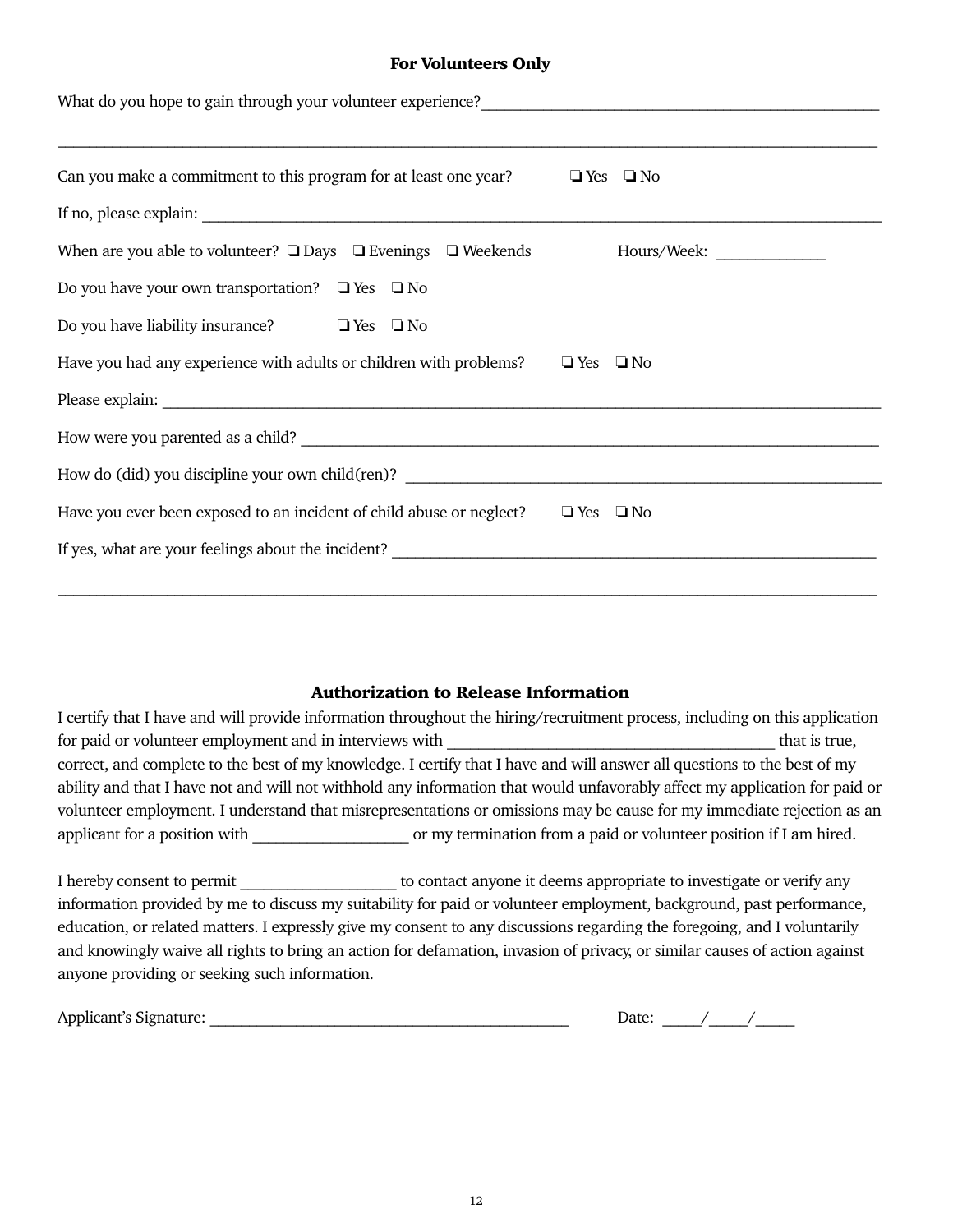#### For Volunteers Only

| What do you hope to gain through your volunteer experience?<br><u>Letter contract and the substantial of the substantial of the substantial of the substantial of the substantial of the substantial of the substantial of the sub</u> |                      |  |  |
|----------------------------------------------------------------------------------------------------------------------------------------------------------------------------------------------------------------------------------------|----------------------|--|--|
| ,我们也不会有什么。""我们的人,我们也不会有什么?""我们的人,我们也不会有什么?""我们的人,我们也不会有什么?""我们的人,我们也不会有什么?""我们的人                                                                                                                                                       |                      |  |  |
| Can you make a commitment to this program for at least one year?                                                                                                                                                                       | $\Box$ Yes $\Box$ No |  |  |
|                                                                                                                                                                                                                                        |                      |  |  |
|                                                                                                                                                                                                                                        |                      |  |  |
| Do you have your own transportation? $\Box$ Yes $\Box$ No                                                                                                                                                                              |                      |  |  |
| Do you have liability insurance? $\Box$ Yes $\Box$ No                                                                                                                                                                                  |                      |  |  |
| Have you had any experience with adults or children with problems?                                                                                                                                                                     | $\Box$ Yes $\Box$ No |  |  |
|                                                                                                                                                                                                                                        |                      |  |  |
|                                                                                                                                                                                                                                        |                      |  |  |
|                                                                                                                                                                                                                                        |                      |  |  |
| Have you ever been exposed to an incident of child abuse or neglect?<br>$\Box$ Yes $\Box$ No                                                                                                                                           |                      |  |  |
|                                                                                                                                                                                                                                        |                      |  |  |
|                                                                                                                                                                                                                                        |                      |  |  |

#### Authorization to Release Information

| I certify that I have and will provide information throughout the hiring/recruitment process, including on this application |                                                                    |
|-----------------------------------------------------------------------------------------------------------------------------|--------------------------------------------------------------------|
| for paid or volunteer employment and in interviews with                                                                     | that is true,                                                      |
| correct, and complete to the best of my knowledge. I certify that I have and will answer all questions to the best of my    |                                                                    |
| ability and that I have not and will not withhold any information that would unfavorably affect my application for paid or  |                                                                    |
| volunteer employment. I understand that misrepresentations or omissions may be cause for my immediate rejection as an       |                                                                    |
| applicant for a position with                                                                                               | or my termination from a paid or volunteer position if I am hired. |

I hereby consent to permit to contact anyone it deems appropriate to investigate or verify any information provided by me to discuss my suitability for paid or volunteer employment, background, past performance, education, or related matters. I expressly give my consent to any discussions regarding the foregoing, and I voluntarily and knowingly waive all rights to bring an action for defamation, invasion of privacy, or similar causes of action against anyone providing or seeking such information.

Applicant's Signature: \_\_\_\_\_\_\_\_\_\_\_\_\_\_\_\_\_\_\_\_\_\_\_\_\_\_\_\_\_\_\_\_\_\_\_\_\_\_\_\_\_\_\_\_\_\_ Date: \_\_\_\_\_/\_\_\_\_\_/\_\_\_\_\_